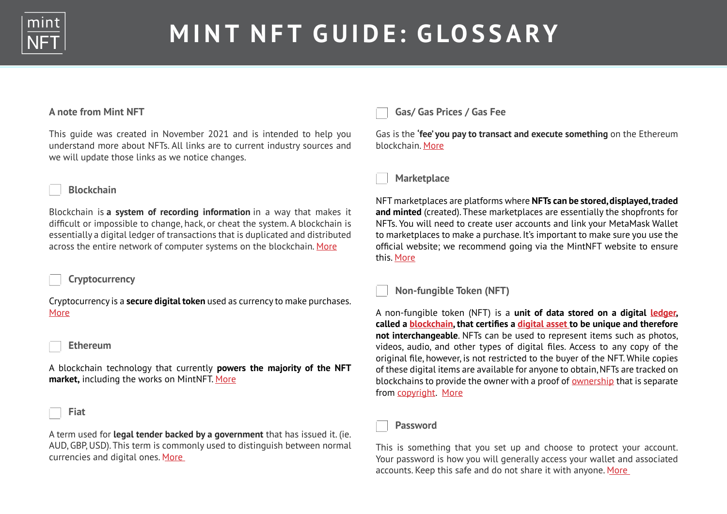

# **MINT NFT GUIDE: GLOSSARY**

### **A note from Mint NFT**

This guide was created in November 2021 and is intended to help you understand more about NFTs. All links are to current industry sources and we will update those links as we notice changes.

## **Blockchain**

Blockchain is **a system of recording information** in a way that makes it difficult or impossible to change, hack, or cheat the system. A blockchain is essentially a digital ledger of transactions that is duplicated and distributed across the entire network of computer systems on the blockchain. [More](https://www.forbes.com/advisor/investing/what-is-blockchain/)

#### **Cryptocurrency**

Cryptocurrency is a **secure digital token** used as currency to make purchases. [More](https://www.investopedia.com/terms/c/cryptocurrency.asp)

#### **Ethereum**

A blockchain technology that currently **powers the majority of the NFT market,** including the works on MintNFT. [More](https://ethereum.org/en/what-is-ethereum/)

#### **Fiat**

A term used for **legal tender backed by a government** that has issued it. (ie. AUD, GBP, USD). This term is commonly used to distinguish between normal currencies and digital ones. [More](https://www.investopedia.com/terms/f/fiatmoney.asp)

# **Gas/ Gas Prices / Gas Fee**

Gas is the **'fee' you pay to transact and execute something** on the Ethereum blockchain. [More](https://www.investopedia.com/terms/g/gas-ethereum.asp#:~:text=What%20Is%20Gas%20(Ethereum)%3F,on%20the%20Ethereum%20blockchain%20platform.)



NFT marketplaces are platforms where **NFTs can be stored, displayed, traded and minted** (created). These marketplaces are essentially the shopfronts for NFTs. You will need to create user accounts and link your MetaMask Wallet to marketplaces to make a purchase. It's important to make sure you use the official website; we recommend going via the MintNFT website to ensure this. [More](https://101blockchains.com/nft-marketplace/)

**Non-fungible Token (NFT)**

A non-fungible token (NFT) is a **unit of data stored on a digital [ledger,](https://en.wikipedia.org/wiki/Ledger) called a [blockchain](https://en.wikipedia.org/wiki/Blockchain), that certifies a [digital asset](https://en.wikipedia.org/wiki/Digital_asset) to be unique and therefore not interchangeable**. NFTs can be used to represent items such as photos, videos, audio, and other types of digital files. Access to any copy of the original file, however, is not restricted to the buyer of the NFT. While copies of these digital items are available for anyone to obtain, NFTs are tracked on blockchains to provide the owner with a proof of [ownership](https://en.wikipedia.org/wiki/Ownership) that is separate from [copyright](https://en.wikipedia.org/wiki/Copyright). [More](https://en.wikipedia.org/wiki/Non-fungible_token)

**Password**

This is something that you set up and choose to protect your account. Your password is how you will generally access your wallet and associated accounts. Keep this safe and do not share it with anyone. [More](https://support.google.com/accounts/answer/32040?hl=en)